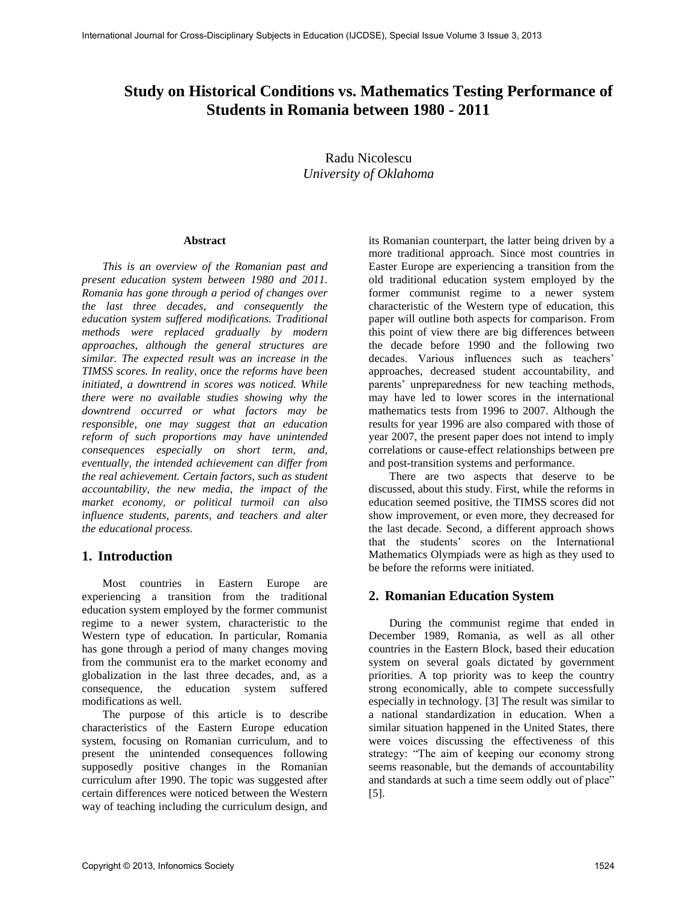# **Study on Historical Conditions vs. Mathematics Testing Performance of Students in Romania between 1980 - 2011**

Radu Nicolescu *University of Oklahoma* 

#### **Abstract**

*This is an overview of the Romanian past and present education system between 1980 and 2011. Romania has gone through a period of changes over the last three decades, and consequently the education system suffered modifications. Traditional methods were replaced gradually by modern approaches, although the general structures are similar. The expected result was an increase in the TIMSS scores. In reality, once the reforms have been initiated, a downtrend in scores was noticed. While there were no available studies showing why the downtrend occurred or what factors may be responsible, one may suggest that an education reform of such proportions may have unintended consequences especially on short term, and, eventually, the intended achievement can differ from the real achievement. Certain factors, such as student accountability, the new media, the impact of the market economy, or political turmoil can also influence students, parents, and teachers and alter the educational process.* 

# **1. Introduction**

Most countries in Eastern Europe are experiencing a transition from the traditional education system employed by the former communist regime to a newer system, characteristic to the Western type of education. In particular, Romania has gone through a period of many changes moving from the communist era to the market economy and globalization in the last three decades, and, as a consequence, the education system suffered modifications as well.

The purpose of this article is to describe characteristics of the Eastern Europe education system, focusing on Romanian curriculum, and to present the unintended consequences following supposedly positive changes in the Romanian curriculum after 1990. The topic was suggested after certain differences were noticed between the Western way of teaching including the curriculum design, and

its Romanian counterpart, the latter being driven by a more traditional approach. Since most countries in Easter Europe are experiencing a transition from the old traditional education system employed by the former communist regime to a newer system characteristic of the Western type of education, this paper will outline both aspects for comparison. From this point of view there are big differences between the decade before 1990 and the following two decades. Various influences such as teachers' approaches, decreased student accountability, and parents' unpreparedness for new teaching methods, may have led to lower scores in the international mathematics tests from 1996 to 2007. Although the results for year 1996 are also compared with those of year 2007, the present paper does not intend to imply correlations or cause-effect relationships between pre and post-transition systems and performance.

There are two aspects that deserve to be discussed, about this study. First, while the reforms in education seemed positive, the TIMSS scores did not show improvement, or even more, they decreased for the last decade. Second, a different approach shows that the students' scores on the International Mathematics Olympiads were as high as they used to be before the reforms were initiated.

# **2. Romanian Education System**

During the communist regime that ended in December 1989, Romania, as well as all other countries in the Eastern Block, based their education system on several goals dictated by government priorities. A top priority was to keep the country strong economically, able to compete successfully especially in technology. [3] The result was similar to a national standardization in education. When a similar situation happened in the United States, there were voices discussing the effectiveness of this strategy: "The aim of keeping our economy strong seems reasonable, but the demands of accountability and standards at such a time seem oddly out of place" [5].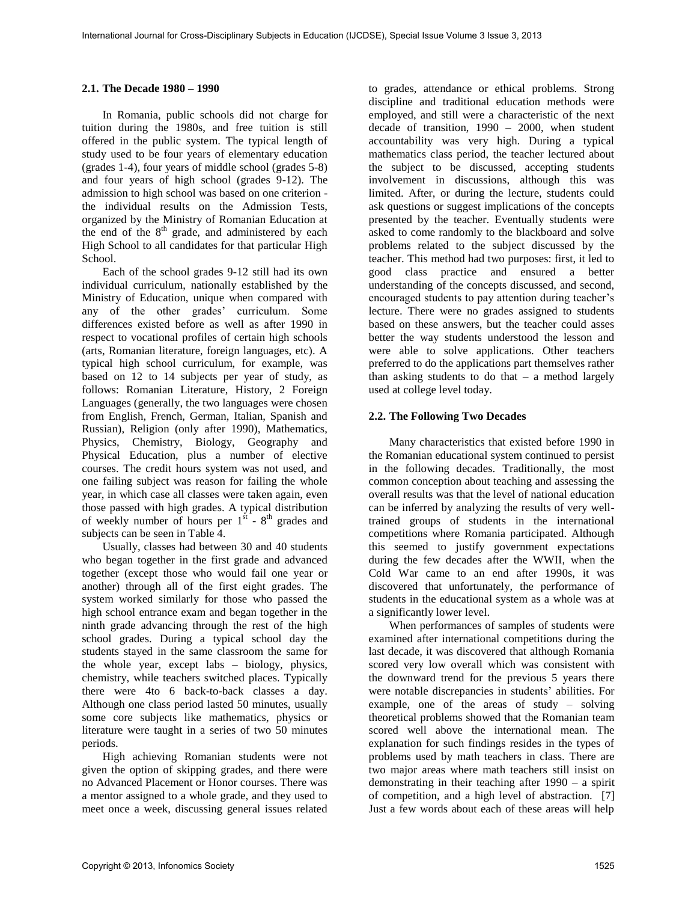### **2.1. The Decade 1980 – 1990**

In Romania, public schools did not charge for tuition during the 1980s, and free tuition is still offered in the public system. The typical length of study used to be four years of elementary education (grades 1-4), four years of middle school (grades 5-8) and four years of high school (grades 9-12). The admission to high school was based on one criterion the individual results on the Admission Tests, organized by the Ministry of Romanian Education at the end of the  $8<sup>th</sup>$  grade, and administered by each High School to all candidates for that particular High School.

Each of the school grades 9-12 still had its own individual curriculum, nationally established by the Ministry of Education, unique when compared with any of the other grades' curriculum. Some differences existed before as well as after 1990 in respect to vocational profiles of certain high schools (arts, Romanian literature, foreign languages, etc). A typical high school curriculum, for example, was based on 12 to 14 subjects per year of study, as follows: Romanian Literature, History, 2 Foreign Languages (generally, the two languages were chosen from English, French, German, Italian, Spanish and Russian), Religion (only after 1990), Mathematics, Physics, Chemistry, Biology, Geography and Physical Education, plus a number of elective courses. The credit hours system was not used, and one failing subject was reason for failing the whole year, in which case all classes were taken again, even those passed with high grades. A typical distribution of weekly number of hours per  $1<sup>st</sup>$  -  $8<sup>th</sup>$  grades and subjects can be seen in Table 4.

Usually, classes had between 30 and 40 students who began together in the first grade and advanced together (except those who would fail one year or another) through all of the first eight grades. The system worked similarly for those who passed the high school entrance exam and began together in the ninth grade advancing through the rest of the high school grades. During a typical school day the students stayed in the same classroom the same for the whole year, except labs – biology, physics, chemistry, while teachers switched places. Typically there were 4to 6 back-to-back classes a day. Although one class period lasted 50 minutes, usually some core subjects like mathematics, physics or literature were taught in a series of two 50 minutes periods.

High achieving Romanian students were not given the option of skipping grades, and there were no Advanced Placement or Honor courses. There was a mentor assigned to a whole grade, and they used to meet once a week, discussing general issues related to grades, attendance or ethical problems. Strong discipline and traditional education methods were employed, and still were a characteristic of the next decade of transition, 1990 – 2000, when student accountability was very high. During a typical mathematics class period, the teacher lectured about the subject to be discussed, accepting students involvement in discussions, although this was limited. After, or during the lecture, students could ask questions or suggest implications of the concepts presented by the teacher. Eventually students were asked to come randomly to the blackboard and solve problems related to the subject discussed by the teacher. This method had two purposes: first, it led to good class practice and ensured a better understanding of the concepts discussed, and second, encouraged students to pay attention during teacher's lecture. There were no grades assigned to students based on these answers, but the teacher could asses better the way students understood the lesson and were able to solve applications. Other teachers preferred to do the applications part themselves rather than asking students to do that  $-$  a method largely used at college level today.

## **2.2. The Following Two Decades**

Many characteristics that existed before 1990 in the Romanian educational system continued to persist in the following decades. Traditionally, the most common conception about teaching and assessing the overall results was that the level of national education can be inferred by analyzing the results of very welltrained groups of students in the international competitions where Romania participated. Although this seemed to justify government expectations during the few decades after the WWII, when the Cold War came to an end after 1990s, it was discovered that unfortunately, the performance of students in the educational system as a whole was at a significantly lower level.

When performances of samples of students were examined after international competitions during the last decade, it was discovered that although Romania scored very low overall which was consistent with the downward trend for the previous 5 years there were notable discrepancies in students' abilities. For example, one of the areas of study – solving theoretical problems showed that the Romanian team scored well above the international mean. The explanation for such findings resides in the types of problems used by math teachers in class. There are two major areas where math teachers still insist on demonstrating in their teaching after 1990 – a spirit of competition, and a high level of abstraction. [7] Just a few words about each of these areas will help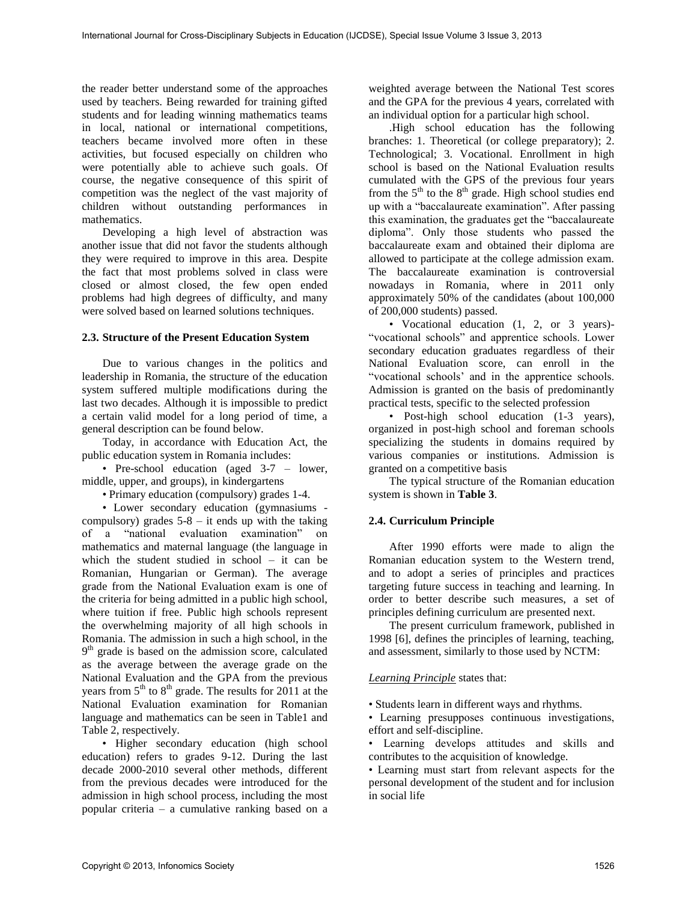the reader better understand some of the approaches used by teachers. Being rewarded for training gifted students and for leading winning mathematics teams in local, national or international competitions, teachers became involved more often in these activities, but focused especially on children who were potentially able to achieve such goals. Of course, the negative consequence of this spirit of competition was the neglect of the vast majority of children without outstanding performances in mathematics.

Developing a high level of abstraction was another issue that did not favor the students although they were required to improve in this area. Despite the fact that most problems solved in class were closed or almost closed, the few open ended problems had high degrees of difficulty, and many were solved based on learned solutions techniques.

### **2.3. Structure of the Present Education System**

Due to various changes in the politics and leadership in Romania, the structure of the education system suffered multiple modifications during the last two decades. Although it is impossible to predict a certain valid model for a long period of time, a general description can be found below.

Today, in accordance with Education Act, the public education system in Romania includes:

• Pre-school education (aged 3-7 – lower, middle, upper, and groups), in kindergartens

• Primary education (compulsory) grades 1-4.

• Lower secondary education (gymnasiums compulsory) grades  $5-8 - it$  ends up with the taking of a "national evaluation examination" on mathematics and maternal language (the language in which the student studied in school – it can be Romanian, Hungarian or German). The average grade from the National Evaluation exam is one of the criteria for being admitted in a public high school, where tuition if free. Public high schools represent the overwhelming majority of all high schools in Romania. The admission in such a high school, in the 9<sup>th</sup> grade is based on the admission score, calculated as the average between the average grade on the National Evaluation and the GPA from the previous years from  $5<sup>th</sup>$  to  $8<sup>th</sup>$  grade. The results for 2011 at the National Evaluation examination for Romanian language and mathematics can be seen in Table1 and Table 2, respectively.

• Higher secondary education (high school education) refers to grades 9-12. During the last decade 2000-2010 several other methods, different from the previous decades were introduced for the admission in high school process, including the most popular criteria – a cumulative ranking based on a

weighted average between the National Test scores and the GPA for the previous 4 years, correlated with an individual option for a particular high school.

.High school education has the following branches: 1. Theoretical (or college preparatory); 2. Technological; 3. Vocational. Enrollment in high school is based on the National Evaluation results cumulated with the GPS of the previous four years from the  $5<sup>th</sup>$  to the  $8<sup>th</sup>$  grade. High school studies end up with a "baccalaureate examination". After passing this examination, the graduates get the "baccalaureate diploma". Only those students who passed the baccalaureate exam and obtained their diploma are allowed to participate at the college admission exam. The baccalaureate examination is controversial nowadays in Romania, where in 2011 only approximately 50% of the candidates (about 100,000 of 200,000 students) passed.

• Vocational education (1, 2, or 3 years)- "vocational schools" and apprentice schools. Lower secondary education graduates regardless of their National Evaluation score, can enroll in the "vocational schools' and in the apprentice schools. Admission is granted on the basis of predominantly practical tests, specific to the selected profession

• Post-high school education (1-3 years), organized in post-high school and foreman schools specializing the students in domains required by various companies or institutions. Admission is granted on a competitive basis

The typical structure of the Romanian education system is shown in **Table 3**.

## **2.4. Curriculum Principle**

After 1990 efforts were made to align the Romanian education system to the Western trend, and to adopt a series of principles and practices targeting future success in teaching and learning. In order to better describe such measures, a set of principles defining curriculum are presented next.

The present curriculum framework, published in 1998 [6], defines the principles of learning, teaching, and assessment, similarly to those used by NCTM:

## *Learning Principle* states that:

• Students learn in different ways and rhythms.

• Learning presupposes continuous investigations, effort and self-discipline.

• Learning develops attitudes and skills and contributes to the acquisition of knowledge.

• Learning must start from relevant aspects for the personal development of the student and for inclusion in social life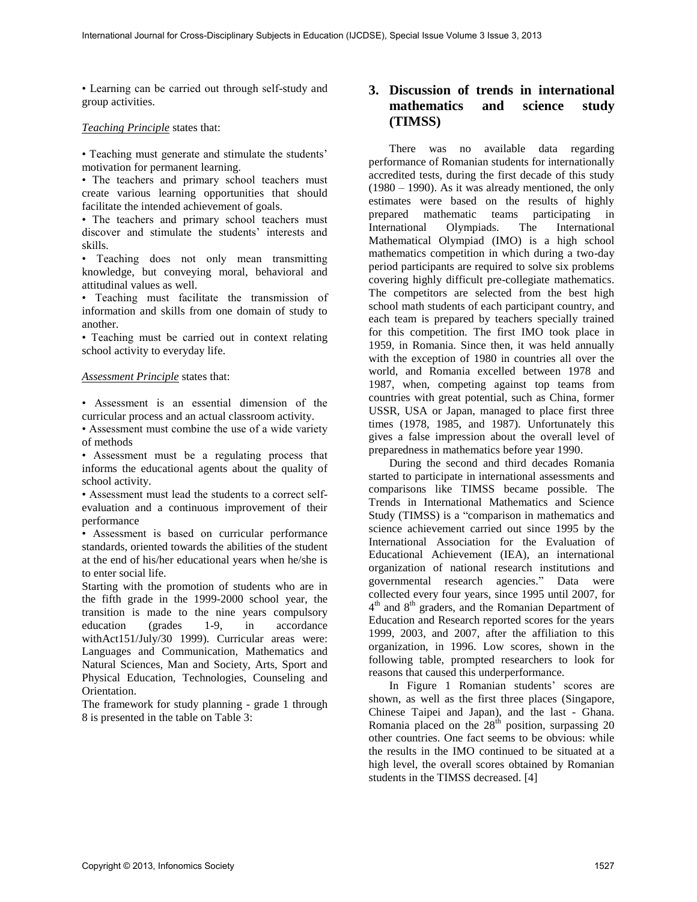• Learning can be carried out through self-study and group activities.

### *Teaching Principle* states that:

• Teaching must generate and stimulate the students' motivation for permanent learning.

• The teachers and primary school teachers must create various learning opportunities that should facilitate the intended achievement of goals.

• The teachers and primary school teachers must discover and stimulate the students' interests and skills.

• Teaching does not only mean transmitting knowledge, but conveying moral, behavioral and attitudinal values as well.

• Teaching must facilitate the transmission of information and skills from one domain of study to another.

• Teaching must be carried out in context relating school activity to everyday life.

#### *Assessment Principle* states that:

• Assessment is an essential dimension of the curricular process and an actual classroom activity.

• Assessment must combine the use of a wide variety of methods

• Assessment must be a regulating process that informs the educational agents about the quality of school activity.

• Assessment must lead the students to a correct selfevaluation and a continuous improvement of their performance

• Assessment is based on curricular performance standards, oriented towards the abilities of the student at the end of his/her educational years when he/she is to enter social life.

Starting with the promotion of students who are in the fifth grade in the 1999-2000 school year, the transition is made to the nine years compulsory education (grades 1-9, in accordance withAct151/July/30 1999). Curricular areas were: Languages and Communication, Mathematics and Natural Sciences*,* Man and Society, Arts, Sport and Physical Education*,* Technologies, Counseling and Orientation.

The framework for study planning - grade 1 through 8 is presented in the table on Table 3:

# **3. Discussion of trends in international mathematics and science study (TIMSS)**

There was no available data regarding performance of Romanian students for internationally accredited tests, during the first decade of this study (1980 – 1990). As it was already mentioned, the only estimates were based on the results of highly prepared mathematic teams participating in International Olympiads. The International Mathematical Olympiad (IMO) is a high school mathematics competition in which during a two-day period participants are required to solve six problems covering highly difficult pre-collegiate mathematics. The competitors are selected from the best high school math students of each participant country, and each team is prepared by teachers specially trained for this competition. The first IMO took place in 1959, in Romania. Since then, it was held annually with the exception of 1980 in countries all over the world, and Romania excelled between 1978 and 1987, when, competing against top teams from countries with great potential, such as China, former USSR, USA or Japan, managed to place first three times (1978, 1985, and 1987). Unfortunately this gives a false impression about the overall level of preparedness in mathematics before year 1990.

During the second and third decades Romania started to participate in international assessments and comparisons like TIMSS became possible. The Trends in International Mathematics and Science Study (TIMSS) is a "comparison in mathematics and science achievement carried out since 1995 by the International Association for the Evaluation of Educational Achievement (IEA), an international organization of national research institutions and governmental research agencies." Data were collected every four years, since 1995 until 2007, for  $4<sup>th</sup>$  and  $8<sup>th</sup>$  graders, and the Romanian Department of Education and Research reported scores for the years 1999, 2003, and 2007, after the affiliation to this organization, in 1996. Low scores, shown in the following table, prompted researchers to look for reasons that caused this underperformance.

In Figure 1 Romanian students' scores are shown, as well as the first three places (Singapore, Chinese Taipei and Japan), and the last - Ghana. Romania placed on the  $28^{\text{th}}$  position, surpassing 20 other countries. One fact seems to be obvious: while the results in the IMO continued to be situated at a high level, the overall scores obtained by Romanian students in the TIMSS decreased. [4]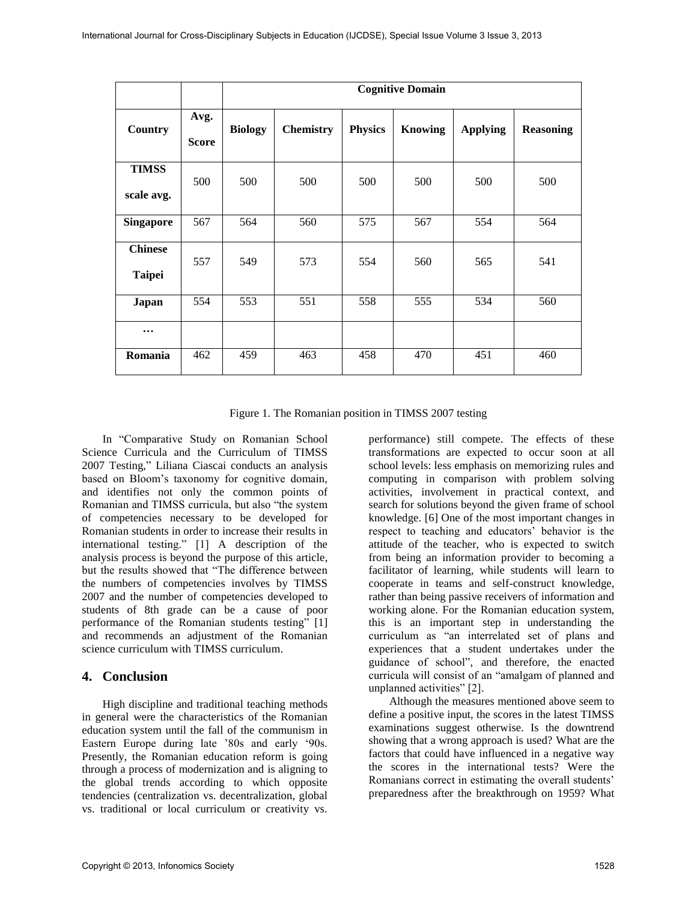|                                 |                      | <b>Cognitive Domain</b> |                  |                |                |                 |                  |  |
|---------------------------------|----------------------|-------------------------|------------------|----------------|----------------|-----------------|------------------|--|
| Country                         | Avg.<br><b>Score</b> | <b>Biology</b>          | <b>Chemistry</b> | <b>Physics</b> | <b>Knowing</b> | <b>Applying</b> | <b>Reasoning</b> |  |
| <b>TIMSS</b><br>scale avg.      | 500                  | 500                     | 500              | 500            | 500            | 500             | 500              |  |
| <b>Singapore</b>                | 567                  | 564                     | 560              | 575            | 567            | 554             | 564              |  |
| <b>Chinese</b><br><b>Taipei</b> | 557                  | 549                     | 573              | 554            | 560            | 565             | 541              |  |
| Japan                           | 554                  | 553                     | 551              | 558            | 555            | 534             | 560              |  |
| $\cdots$                        |                      |                         |                  |                |                |                 |                  |  |
| Romania                         | 462                  | 459                     | 463              | 458            | 470            | 451             | 460              |  |

Figure 1. The Romanian position in TIMSS 2007 testing

In "Comparative Study on Romanian School Science Curricula and the Curriculum of TIMSS 2007 Testing," Liliana Ciascai conducts an analysis based on Bloom's taxonomy for cognitive domain, and identifies not only the common points of Romanian and TIMSS curricula, but also "the system of competencies necessary to be developed for Romanian students in order to increase their results in international testing." [1] A description of the analysis process is beyond the purpose of this article, but the results showed that "The difference between the numbers of competencies involves by TIMSS 2007 and the number of competencies developed to students of 8th grade can be a cause of poor performance of the Romanian students testing" [1] and recommends an adjustment of the Romanian science curriculum with TIMSS curriculum.

# **4. Conclusion**

High discipline and traditional teaching methods in general were the characteristics of the Romanian education system until the fall of the communism in Eastern Europe during late '80s and early '90s. Presently, the Romanian education reform is going through a process of modernization and is aligning to the global trends according to which opposite tendencies (centralization vs. decentralization, global vs. traditional or local curriculum or creativity vs.

performance) still compete. The effects of these transformations are expected to occur soon at all school levels: less emphasis on memorizing rules and computing in comparison with problem solving activities, involvement in practical context, and search for solutions beyond the given frame of school knowledge. [6] One of the most important changes in respect to teaching and educators' behavior is the attitude of the teacher, who is expected to switch from being an information provider to becoming a facilitator of learning, while students will learn to cooperate in teams and self-construct knowledge, rather than being passive receivers of information and working alone. For the Romanian education system, this is an important step in understanding the curriculum as "an interrelated set of plans and experiences that a student undertakes under the guidance of school", and therefore, the enacted curricula will consist of an "amalgam of planned and unplanned activities" [2].

Although the measures mentioned above seem to define a positive input, the scores in the latest TIMSS examinations suggest otherwise. Is the downtrend showing that a wrong approach is used? What are the factors that could have influenced in a negative way the scores in the international tests? Were the Romanians correct in estimating the overall students' preparedness after the breakthrough on 1959? What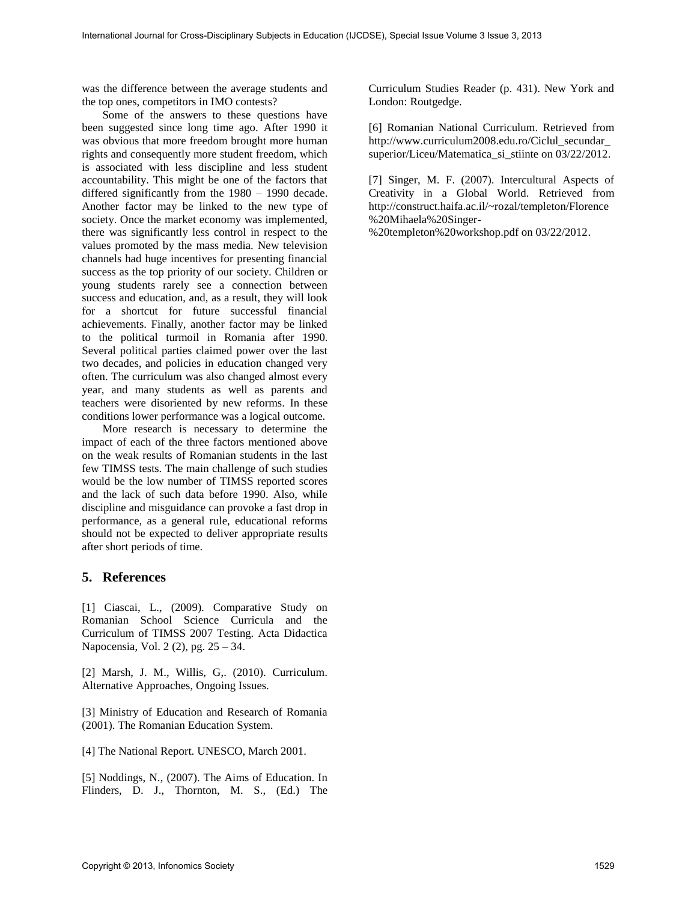was the difference between the average students and the top ones, competitors in IMO contests?

Some of the answers to these questions have been suggested since long time ago. After 1990 it was obvious that more freedom brought more human rights and consequently more student freedom, which is associated with less discipline and less student accountability. This might be one of the factors that differed significantly from the 1980 – 1990 decade. Another factor may be linked to the new type of society. Once the market economy was implemented, there was significantly less control in respect to the values promoted by the mass media. New television channels had huge incentives for presenting financial success as the top priority of our society. Children or young students rarely see a connection between success and education, and, as a result, they will look for a shortcut for future successful financial achievements. Finally, another factor may be linked to the political turmoil in Romania after 1990. Several political parties claimed power over the last two decades, and policies in education changed very often. The curriculum was also changed almost every year, and many students as well as parents and teachers were disoriented by new reforms. In these conditions lower performance was a logical outcome.

More research is necessary to determine the impact of each of the three factors mentioned above on the weak results of Romanian students in the last few TIMSS tests. The main challenge of such studies would be the low number of TIMSS reported scores and the lack of such data before 1990. Also, while discipline and misguidance can provoke a fast drop in performance, as a general rule, educational reforms should not be expected to deliver appropriate results after short periods of time.

## **5. References**

[1] Ciascai, L., (2009). Comparative Study on Romanian School Science Curricula and the Curriculum of TIMSS 2007 Testing. Acta Didactica Napocensia, Vol. 2 (2), pg. 25 – 34.

[2] Marsh, J. M., Willis, G,. (2010). Curriculum. Alternative Approaches, Ongoing Issues.

[3] Ministry of Education and Research of Romania (2001). The Romanian Education System.

[4] The National Report. UNESCO, March 2001.

[5] Noddings, N., (2007). The Aims of Education. In Flinders, D. J., Thornton, M. S., (Ed.) The Curriculum Studies Reader (p. 431). New York and London: Routgedge.

[6] Romanian National Curriculum. Retrieved from http://www.curriculum2008.edu.ro/Ciclul\_secundar\_ superior/Liceu/Matematica\_si\_stiinte on 03/22/2012.

[7] Singer, M. F. (2007). Intercultural Aspects of Creativity in a Global World. Retrieved from http://construct.haifa.ac.il/~rozal/templeton/Florence %20Mihaela%20Singer-

%20templeton%20workshop.pdf on 03/22/2012.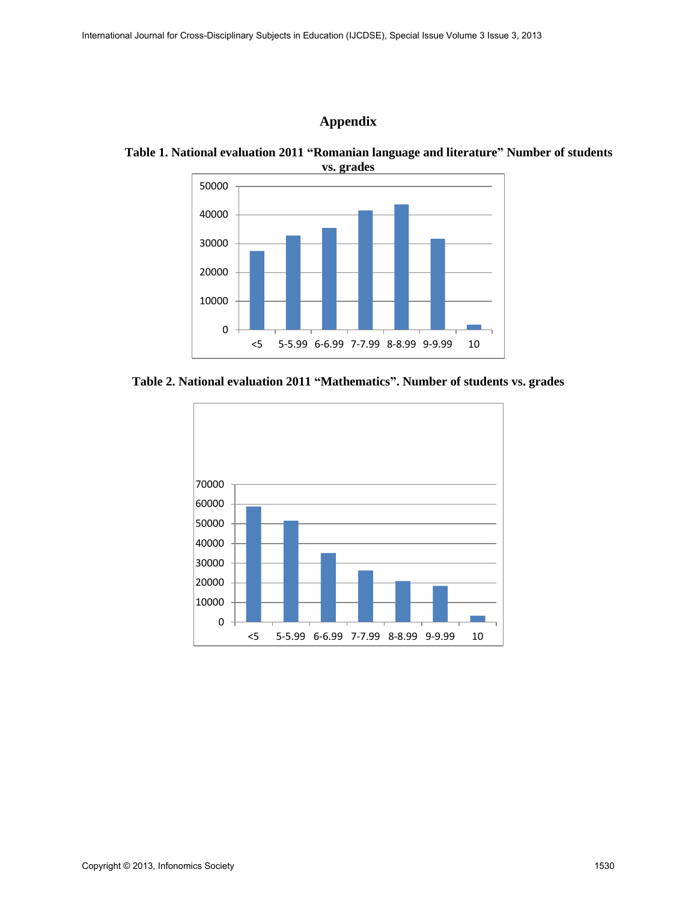# **Appendix**



**Table 1. National evaluation 2011 "Romanian language and literature" Number of students vs. grades**

**Table 2. National evaluation 2011 "Mathematics". Number of students vs. grades** 

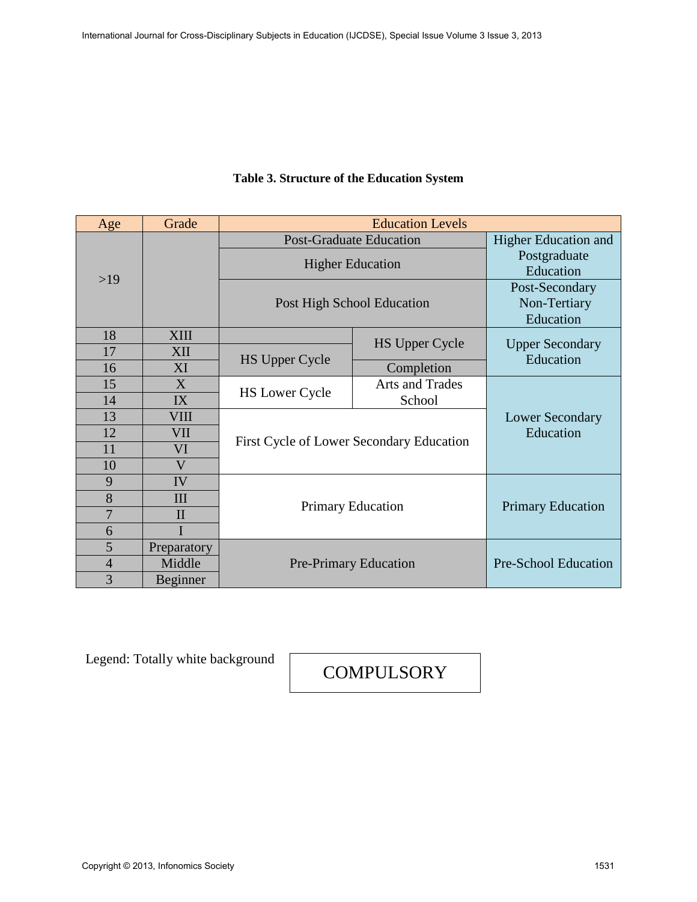| Age            | Grade        | <b>Education Levels</b>                    |                                     |                        |  |  |  |
|----------------|--------------|--------------------------------------------|-------------------------------------|------------------------|--|--|--|
|                |              | <b>Post-Graduate Education</b>             | <b>Higher Education and</b>         |                        |  |  |  |
|                |              | <b>Higher Education</b>                    | Postgraduate                        |                        |  |  |  |
| $>19$          |              |                                            | Education                           |                        |  |  |  |
|                |              |                                            | Post-Secondary                      |                        |  |  |  |
|                |              | Non-Tertiary<br>Post High School Education |                                     |                        |  |  |  |
|                |              |                                            | Education                           |                        |  |  |  |
| 18             | <b>XIII</b>  |                                            | <b>HS Upper Cycle</b>               | <b>Upper Secondary</b> |  |  |  |
| 17             | XII          | <b>HS Upper Cycle</b>                      |                                     | Education              |  |  |  |
| 16             | XI           |                                            | Completion                          |                        |  |  |  |
| 15             | X            | <b>HS Lower Cycle</b>                      | Arts and Trades                     |                        |  |  |  |
| 14             | IX           |                                            | School                              |                        |  |  |  |
| 13             | VIII         |                                            | <b>Lower Secondary</b><br>Education |                        |  |  |  |
| 12             | VII          | First Cycle of Lower Secondary Education   |                                     |                        |  |  |  |
| 11             | VI           |                                            |                                     |                        |  |  |  |
| 10             | V            |                                            |                                     |                        |  |  |  |
| 9              | IV           |                                            |                                     |                        |  |  |  |
| 8              | III          | <b>Primary Education</b>                   | <b>Primary Education</b>            |                        |  |  |  |
| $\overline{7}$ | $\mathbf{I}$ |                                            |                                     |                        |  |  |  |
| 6              |              |                                            |                                     |                        |  |  |  |
| 5              | Preparatory  |                                            |                                     |                        |  |  |  |
| $\overline{4}$ | Middle       | <b>Pre-Primary Education</b>               | Pre-School Education                |                        |  |  |  |
| 3              | Beginner     |                                            |                                     |                        |  |  |  |

# **Table 3. Structure of the Education System**

Legend: Totally white background

**COMPULSORY**